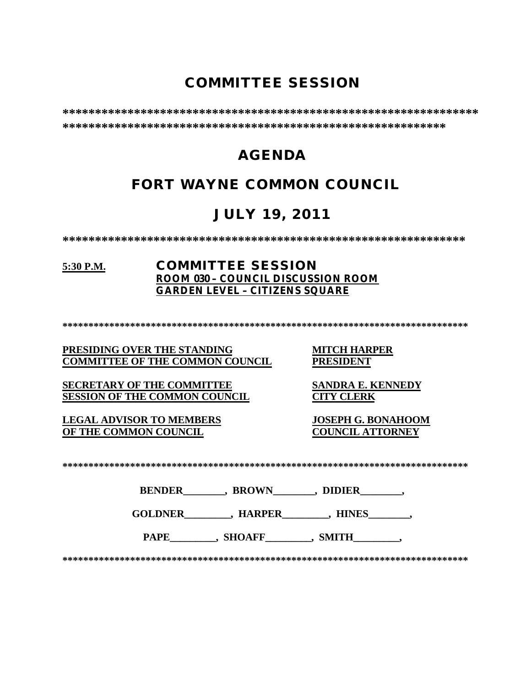# **COMMITTEE SESSION**

**\*\*\*\*\*\*\*\*\*\*\*\*\*\*\*\*\*\*\*\*\*\*\*\*\*\*\*\*\*\*\*\*\*\*\*\*\*\*\*\*\*\*\*\*\*\*\*\*\*\*\*\*\*\*\*\*\*\*\*\*\*\*\*\* \*\*\*\*\*\*\*\*\*\*\*\*\*\*\*\*\*\*\*\*\*\*\*\*\*\*\*\*\*\*\*\*\*\*\*\*\*\*\*\*\*\*\*\*\*\*\*\*\*\*\*\*\*\*\*\*\*\*\***

# **AGENDA**

# **FORT WAYNE COMMON COUNCIL**

# **JULY 19, 2011**

**\*\*\*\*\*\*\*\*\*\*\*\*\*\*\*\*\*\*\*\*\*\*\*\*\*\*\*\*\*\*\*\*\*\*\*\*\*\*\*\*\*\*\*\*\*\*\*\*\*\*\*\*\*\*\*\*\*\*\*\*\*\***

### **5:30 P.M. COMMITTEE SESSION ROOM 030 – COUNCIL DISCUSSION ROOM GARDEN LEVEL – CITIZENS SQUARE**

**\*\*\*\*\*\*\*\*\*\*\*\*\*\*\*\*\*\*\*\*\*\*\*\*\*\*\*\*\*\*\*\*\*\*\*\*\*\*\*\*\*\*\*\*\*\*\*\*\*\*\*\*\*\*\*\*\*\*\*\*\*\*\*\*\*\*\*\*\*\*\*\*\*\*\*\*\*\***

### **PRESIDING OVER THE STANDING MITCH HARPER<br>
COMMITTEE OF THE COMMON COUNCIL PRESIDENT COMMITTEE OF THE COMMON COUNCIL**

**SECRETARY OF THE COMMITTEE SANDRA E. KENNEDY**<br>**SESSION OF THE COMMON COUNCIL CITY CLERK SESSION OF THE COMMON COUNCIL** 

**LEGAL ADVISOR TO MEMBERS JOSEPH G. BONAHOOM OF THE COMMON COUNCIL** 

| . |
|---|
|---|

| <b>BENDER</b> | <b>BROWN</b> | <b>DIDIER</b> |
|---------------|--------------|---------------|
|               |              |               |

**GOLDNER\_\_\_\_\_\_\_\_\_, HARPER\_\_\_\_\_\_\_\_\_, HINES\_\_\_\_\_\_\_\_,** 

PAPE , SHOAFF , SMITH

**\*\*\*\*\*\*\*\*\*\*\*\*\*\*\*\*\*\*\*\*\*\*\*\*\*\*\*\*\*\*\*\*\*\*\*\*\*\*\*\*\*\*\*\*\*\*\*\*\*\*\*\*\*\*\*\*\*\*\*\*\*\*\*\*\*\*\*\*\*\*\*\*\*\*\*\*\*\***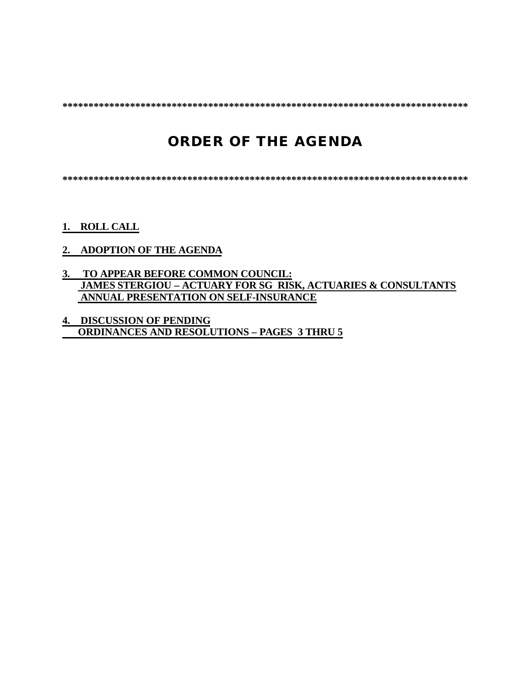**\*\*\*\*\*\*\*\*\*\*\*\*\*\*\*\*\*\*\*\*\*\*\*\*\*\*\*\*\*\*\*\*\*\*\*\*\*\*\*\*\*\*\*\*\*\*\*\*\*\*\*\*\*\*\*\*\*\*\*\*\*\*\*\*\*\*\*\*\*\*\*\*\*\*\*\*\*\***

# **ORDER OF THE AGENDA**

**\*\*\*\*\*\*\*\*\*\*\*\*\*\*\*\*\*\*\*\*\*\*\*\*\*\*\*\*\*\*\*\*\*\*\*\*\*\*\*\*\*\*\*\*\*\*\*\*\*\*\*\*\*\*\*\*\*\*\*\*\*\*\*\*\*\*\*\*\*\*\*\*\*\*\*\*\*\***

- **1. ROLL CALL**
- **2. ADOPTION OF THE AGENDA**
- **3. TO APPEAR BEFORE COMMON COUNCIL: JAMES STERGIOU – ACTUARY FOR SG RISK, ACTUARIES & CONSULTANTS ANNUAL PRESENTATION ON SELF-INSURANCE**
- **4. DISCUSSION OF PENDING ORDINANCES AND RESOLUTIONS – PAGES 3 THRU 5**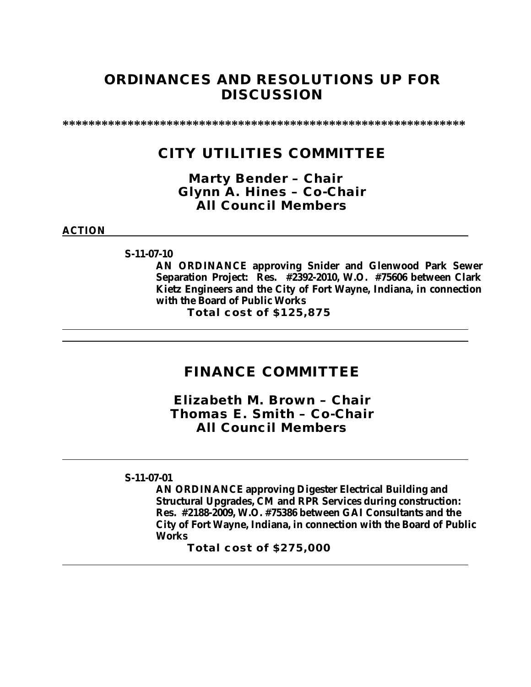# **ORDINANCES AND RESOLUTIONS UP FOR DISCUSSION**

**\*\*\*\*\*\*\*\*\*\*\*\*\*\*\*\*\*\*\*\*\*\*\*\*\*\*\*\*\*\*\*\*\*\*\*\*\*\*\*\*\*\*\*\*\*\*\*\*\*\*\*\*\*\*\*\*\*\*\*\*\*\***

## **CITY UTILITIES COMMITTEE**

*Marty Bender – Chair Glynn A. Hines – Co-Chair All Council Members*

**ACTION**

**S-11-07-10**

**AN ORDINANCE approving Snider and Glenwood Park Sewer Separation Project: Res. #2392-2010, W.O. #75606 between Clark Kietz Engineers and the City of Fort Wayne, Indiana, in connection with the Board of Public Works**

**Total cost of \$125,875**

### **FINANCE COMMITTEE**

*Elizabeth M. Brown – Chair Thomas E. Smith – Co-Chair All Council Members*

### **S-11-07-01**

**AN ORDINANCE approving Digester Electrical Building and Structural Upgrades, CM and RPR Services during construction: Res. #2188-2009, W.O. #75386 between GAI Consultants and the City of Fort Wayne, Indiana, in connection with the Board of Public Works**

**Total cost of \$275,000**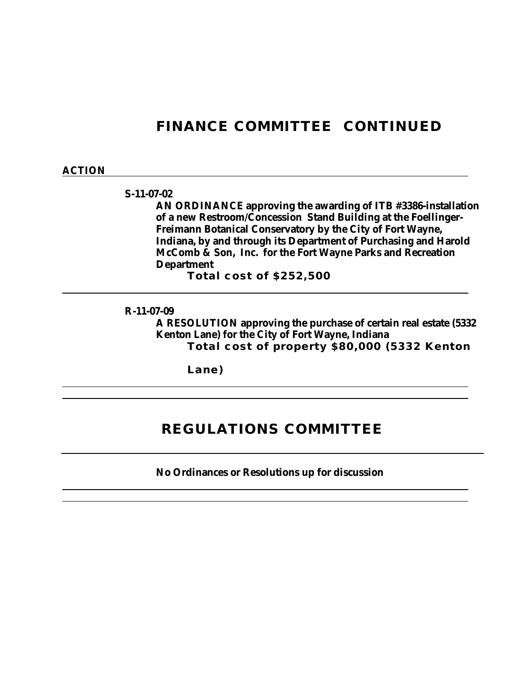# **FINANCE COMMITTEE CONTINUED**

#### **ACTION**

#### **S-11-07-02**

**AN ORDINANCE approving the awarding of ITB #3386-installation of a new Restroom/Concession Stand Building at the Foellinger-Freimann Botanical Conservatory by the City of Fort Wayne, Indiana, by and through its Department of Purchasing and Harold McComb & Son, Inc. for the Fort Wayne Parks and Recreation Department**

**Total cost of \$252,500**

### **R-11-07-09**

**A RESOLUTION approving the purchase of certain real estate (5332 Kenton Lane) for the City of Fort Wayne, Indiana Total cost of property \$80,000 (5332 Kenton** 

**Lane)**

## **REGULATIONS COMMITTEE**

**No Ordinances or Resolutions up for discussion**